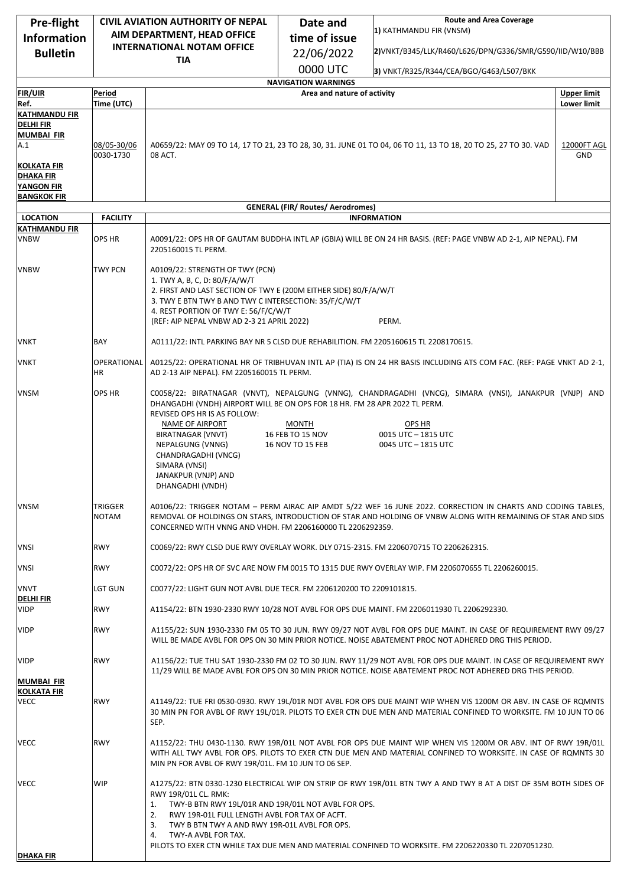| Pre-flight                                                    | <b>CIVIL AVIATION AUTHORITY OF NEPAL</b> |                                                                                                                                                                                                                                                                                                                                                                                                                                                           | Date and                                             | <b>Route and Area Coverage</b>                                                                                                                                                                                                       |                    |
|---------------------------------------------------------------|------------------------------------------|-----------------------------------------------------------------------------------------------------------------------------------------------------------------------------------------------------------------------------------------------------------------------------------------------------------------------------------------------------------------------------------------------------------------------------------------------------------|------------------------------------------------------|--------------------------------------------------------------------------------------------------------------------------------------------------------------------------------------------------------------------------------------|--------------------|
| <b>Information</b>                                            | AIM DEPARTMENT, HEAD OFFICE              |                                                                                                                                                                                                                                                                                                                                                                                                                                                           | time of issue                                        | 1) KATHMANDU FIR (VNSM)                                                                                                                                                                                                              |                    |
| <b>Bulletin</b>                                               | <b>INTERNATIONAL NOTAM OFFICE</b>        |                                                                                                                                                                                                                                                                                                                                                                                                                                                           | 22/06/2022                                           | 2)VNKT/B345/LLK/R460/L626/DPN/G336/SMR/G590/IID/W10/BBB                                                                                                                                                                              |                    |
|                                                               |                                          | <b>TIA</b>                                                                                                                                                                                                                                                                                                                                                                                                                                                | 0000 UTC                                             |                                                                                                                                                                                                                                      |                    |
|                                                               |                                          |                                                                                                                                                                                                                                                                                                                                                                                                                                                           | <b>NAVIGATION WARNINGS</b>                           | 3) VNKT/R325/R344/CEA/BGO/G463/L507/BKK                                                                                                                                                                                              |                    |
| <b>FIR/UIR</b>                                                | Period                                   |                                                                                                                                                                                                                                                                                                                                                                                                                                                           | Area and nature of activity                          |                                                                                                                                                                                                                                      | <b>Upper limit</b> |
| Ref.                                                          | Time (UTC)                               |                                                                                                                                                                                                                                                                                                                                                                                                                                                           |                                                      |                                                                                                                                                                                                                                      | <b>Lower limit</b> |
| <b>KATHMANDU FIR</b><br><b>DELHI FIR</b><br><b>MUMBAI FIR</b> |                                          |                                                                                                                                                                                                                                                                                                                                                                                                                                                           |                                                      |                                                                                                                                                                                                                                      |                    |
| A.1<br><b>KOLKATA FIR</b>                                     | 08/05-30/06<br>0030-1730                 | 08 ACT.                                                                                                                                                                                                                                                                                                                                                                                                                                                   |                                                      | A0659/22: MAY 09 TO 14, 17 TO 21, 23 TO 28, 30, 31. JUNE 01 TO 04, 06 TO 11, 13 TO 18, 20 TO 25, 27 TO 30. VAD                                                                                                                       | 12000FT AGL<br>GND |
| DHAKA FIR<br>YANGON FIR<br><b>BANGKOK FIR</b>                 |                                          |                                                                                                                                                                                                                                                                                                                                                                                                                                                           |                                                      |                                                                                                                                                                                                                                      |                    |
|                                                               |                                          |                                                                                                                                                                                                                                                                                                                                                                                                                                                           | <b>GENERAL (FIR/ Routes/ Aerodromes)</b>             |                                                                                                                                                                                                                                      |                    |
| <b>LOCATION</b>                                               | <b>FACILITY</b>                          |                                                                                                                                                                                                                                                                                                                                                                                                                                                           |                                                      | <b>INFORMATION</b>                                                                                                                                                                                                                   |                    |
| <b>KATHMANDU FIR</b><br><b>VNBW</b>                           | <b>OPS HR</b>                            | 2205160015 TL PERM.                                                                                                                                                                                                                                                                                                                                                                                                                                       |                                                      | A0091/22: OPS HR OF GAUTAM BUDDHA INTL AP (GBIA) WILL BE ON 24 HR BASIS. (REF: PAGE VNBW AD 2-1, AIP NEPAL). FM                                                                                                                      |                    |
| <b>VNBW</b>                                                   | <b>TWY PCN</b>                           | A0109/22: STRENGTH OF TWY (PCN)<br>1. TWY A, B, C, D: 80/F/A/W/T<br>2. FIRST AND LAST SECTION OF TWY E (200M EITHER SIDE) 80/F/A/W/T<br>3. TWY E BTN TWY B AND TWY C INTERSECTION: 35/F/C/W/T<br>4. REST PORTION OF TWY E: 56/F/C/W/T<br>(REF: AIP NEPAL VNBW AD 2-3 21 APRIL 2022)<br>PERM.                                                                                                                                                              |                                                      |                                                                                                                                                                                                                                      |                    |
| VNKT                                                          | BAY                                      | A0111/22: INTL PARKING BAY NR 5 CLSD DUE REHABILITION. FM 2205160615 TL 2208170615.                                                                                                                                                                                                                                                                                                                                                                       |                                                      |                                                                                                                                                                                                                                      |                    |
| VNKT                                                          | OPERATIONAL<br>ΗR                        | A0125/22: OPERATIONAL HR OF TRIBHUVAN INTL AP (TIA) IS ON 24 HR BASIS INCLUDING ATS COM FAC. (REF: PAGE VNKT AD 2-1,<br>AD 2-13 AIP NEPAL). FM 2205160015 TL PERM.                                                                                                                                                                                                                                                                                        |                                                      |                                                                                                                                                                                                                                      |                    |
| <b>VNSM</b>                                                   | OPS HR                                   | DHANGADHI (VNDH) AIRPORT WILL BE ON OPS FOR 18 HR. FM 28 APR 2022 TL PERM.<br>REVISED OPS HR IS AS FOLLOW:<br>NAME OF AIRPORT<br>BIRATNAGAR (VNVT)<br>NEPALGUNG (VNNG)<br>CHANDRAGADHI (VNCG)<br>SIMARA (VNSI)<br>JANAKPUR (VNJP) AND<br>DHANGADHI (VNDH)                                                                                                                                                                                                 | <b>MONTH</b><br>16 FEB TO 15 NOV<br>16 NOV TO 15 FEB | C0058/22: BIRATNAGAR (VNVT), NEPALGUNG (VNNG), CHANDRAGADHI (VNCG), SIMARA (VNSI), JANAKPUR (VNJP) AND<br>OPS HR<br>0015 UTC - 1815 UTC<br>0045 UTC - 1815 UTC                                                                       |                    |
| <b>VNSM</b>                                                   | TRIGGER<br><b>NOTAM</b>                  | A0106/22: TRIGGER NOTAM - PERM AIRAC AIP AMDT 5/22 WEF 16 JUNE 2022. CORRECTION IN CHARTS AND CODING TABLES,<br>REMOVAL OF HOLDINGS ON STARS, INTRODUCTION OF STAR AND HOLDING OF VNBW ALONG WITH REMAINING OF STAR AND SIDS<br>CONCERNED WITH VNNG AND VHDH. FM 2206160000 TL 2206292359.                                                                                                                                                                |                                                      |                                                                                                                                                                                                                                      |                    |
| VNSI                                                          | <b>RWY</b>                               | C0069/22: RWY CLSD DUE RWY OVERLAY WORK. DLY 0715-2315. FM 2206070715 TO 2206262315.                                                                                                                                                                                                                                                                                                                                                                      |                                                      |                                                                                                                                                                                                                                      |                    |
| <b>VNSI</b>                                                   | <b>RWY</b>                               | C0072/22: OPS HR OF SVC ARE NOW FM 0015 TO 1315 DUE RWY OVERLAY WIP. FM 2206070655 TL 2206260015.                                                                                                                                                                                                                                                                                                                                                         |                                                      |                                                                                                                                                                                                                                      |                    |
| <b>VNVT</b><br><u>DELHI FIR</u>                               | <b>LGT GUN</b>                           | C0077/22: LIGHT GUN NOT AVBL DUE TECR. FM 2206120200 TO 2209101815.                                                                                                                                                                                                                                                                                                                                                                                       |                                                      |                                                                                                                                                                                                                                      |                    |
| <b>VIDP</b>                                                   | <b>RWY</b>                               |                                                                                                                                                                                                                                                                                                                                                                                                                                                           |                                                      | A1154/22: BTN 1930-2330 RWY 10/28 NOT AVBL FOR OPS DUE MAINT. FM 2206011930 TL 2206292330.                                                                                                                                           |                    |
| <b>VIDP</b>                                                   | <b>RWY</b>                               |                                                                                                                                                                                                                                                                                                                                                                                                                                                           |                                                      | A1155/22: SUN 1930-2330 FM 05 TO 30 JUN. RWY 09/27 NOT AVBL FOR OPS DUE MAINT. IN CASE OF REQUIREMENT RWY 09/27<br>WILL BE MADE AVBL FOR OPS ON 30 MIN PRIOR NOTICE. NOISE ABATEMENT PROC NOT ADHERED DRG THIS PERIOD.               |                    |
| <b>VIDP</b><br><b>MUMBAI FIR</b><br><b>KOLKATA FIR</b>        | <b>RWY</b>                               |                                                                                                                                                                                                                                                                                                                                                                                                                                                           |                                                      | A1156/22: TUE THU SAT 1930-2330 FM 02 TO 30 JUN. RWY 11/29 NOT AVBL FOR OPS DUE MAINT. IN CASE OF REQUIREMENT RWY<br>11/29 WILL BE MADE AVBL FOR OPS ON 30 MIN PRIOR NOTICE. NOISE ABATEMENT PROC NOT ADHERED DRG THIS PERIOD.       |                    |
| VECC                                                          | <b>RWY</b>                               | SEP.                                                                                                                                                                                                                                                                                                                                                                                                                                                      |                                                      | A1149/22: TUE FRI 0530-0930. RWY 19L/01R NOT AVBL FOR OPS DUE MAINT WIP WHEN VIS 1200M OR ABV. IN CASE OF ROMNTS<br>30 MIN PN FOR AVBL OF RWY 19L/01R. PILOTS TO EXER CTN DUE MEN AND MATERIAL CONFINED TO WORKSITE. FM 10 JUN TO 06 |                    |
| VECC                                                          | <b>RWY</b>                               | A1152/22: THU 0430-1130. RWY 19R/01L NOT AVBL FOR OPS DUE MAINT WIP WHEN VIS 1200M OR ABV. INT OF RWY 19R/01L<br>WITH ALL TWY AVBL FOR OPS. PILOTS TO EXER CTN DUE MEN AND MATERIAL CONFINED TO WORKSITE. IN CASE OF ROMNTS 30<br>MIN PN FOR AVBL OF RWY 19R/01L. FM 10 JUN TO 06 SEP.                                                                                                                                                                    |                                                      |                                                                                                                                                                                                                                      |                    |
| <b>VECC</b><br><b>DHAKA FIR</b>                               | WIP                                      | A1275/22: BTN 0330-1230 ELECTRICAL WIP ON STRIP OF RWY 19R/01L BTN TWY A AND TWY B AT A DIST OF 35M BOTH SIDES OF<br>RWY 19R/01L CL. RMK:<br>TWY-B BTN RWY 19L/01R AND 19R/01L NOT AVBL FOR OPS.<br>1.<br>RWY 19R-01L FULL LENGTH AVBL FOR TAX OF ACFT.<br>2.<br>TWY B BTN TWY A AND RWY 19R-01L AVBL FOR OPS.<br>3.<br>4.<br>TWY-A AVBL FOR TAX.<br>PILOTS TO EXER CTN WHILE TAX DUE MEN AND MATERIAL CONFINED TO WORKSITE. FM 2206220330 TL 2207051230. |                                                      |                                                                                                                                                                                                                                      |                    |